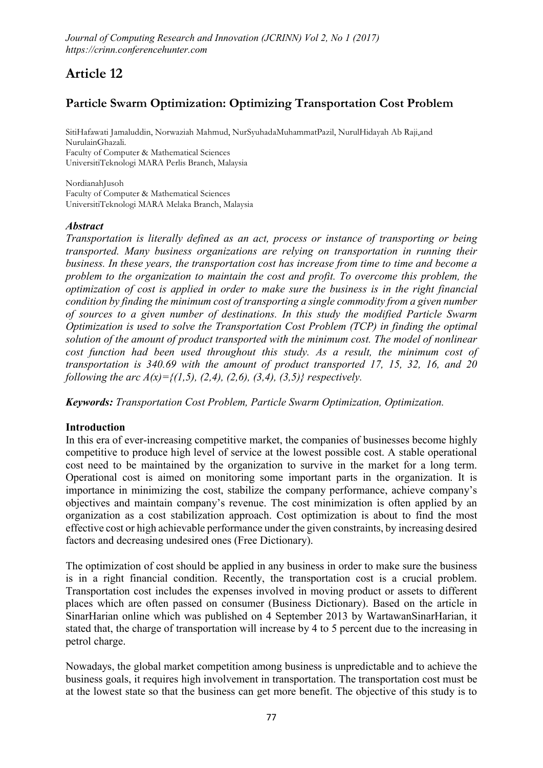# Article 12

## Particle Swarm Optimization: Optimizing Transportation Cost Problem

**SitiHafawati Jamaluddin, Norwaziah Mahmud, NurSyuhadaMuhammatPazil, NurulHidayah Ab Raji,and NurulainGhazali. Faculty of Computer & Mathematical Sciences UniversitiTeknologi MARA Perlis Branch, Malaysia**

**NordianahJusoh Faculty of Computer & Mathematical Sciences UniversitiTeknologi MARA Melaka Branch, Malaysia**

#### *Abstract*

*Transportation is literally defined as an act, process or instance of transporting or being transported. Many business organizations are relying on transportation in running their business. In these years, the transportation cost has increase from time to time and become a problem to the organization to maintain the cost and profit. To overcome this problem, the optimization of cost is applied in order to make sure the business is in the right financial condition by finding the minimum cost of transporting a single commodity from a given number of sources to a given number of destinations. In this study the modified Particle Swarm Optimization is used to solve the Transportation Cost Problem (TCP) in finding the optimal solution of the amount of product transported with the minimum cost. The model of nonlinear cost function had been used throughout this study. As a result, the minimum cost of transportation is 340.69 with the amount of product transported 17, 15, 32, 16, and 20 following the arc A(x)={(1,5), (2,4), (2,6), (3,4), (3,5)} respectively.*

*Keywords: Transportation Cost Problem, Particle Swarm Optimization, Optimization.*

## **Introduction**

In this era of ever-increasing competitive market, the companies of businesses become highly competitive to produce high level of service at the lowest possible cost. A stable operational cost need to be maintained by the organization to survive in the market for a long term. Operational cost is aimed on monitoring some important parts in the organization. It is importance in minimizing the cost, stabilize the company performance, achieve company's objectives and maintain company's revenue. The cost minimization is often applied by an organization as a cost stabilization approach. Cost optimization is about to find the most effective cost or high achievable performance under the given constraints, by increasing desired factors and decreasing undesired ones (Free Dictionary).

The optimization of cost should be applied in any business in order to make sure the business is in a right financial condition. Recently, the transportation cost is a crucial problem. Transportation cost includes the expenses involved in moving product or assets to different places which are often passed on consumer (Business Dictionary). Based on the article in SinarHarian online which was published on 4 September 2013 by WartawanSinarHarian, it stated that, the charge of transportation will increase by 4 to 5 percent due to the increasing in petrol charge.

Nowadays, the global market competition among business is unpredictable and to achieve the business goals, it requires high involvement in transportation. The transportation cost must be at the lowest state so that the business can get more benefit. The objective of this study is to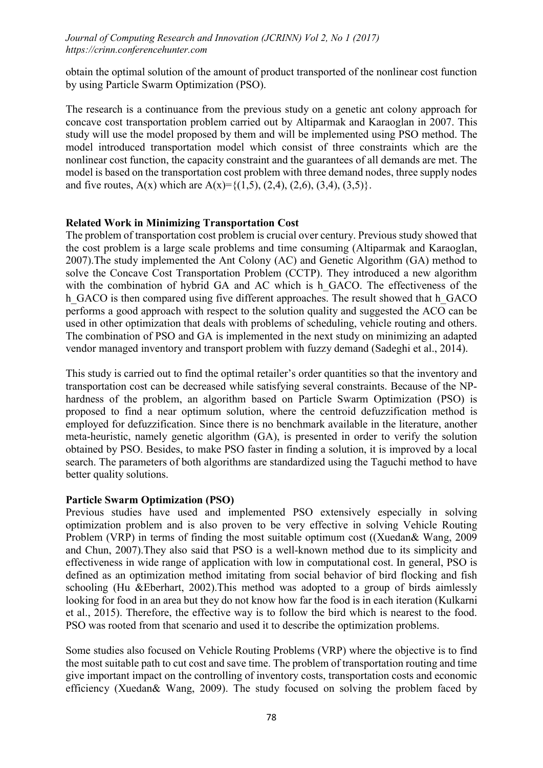obtain the optimal solution of the amount of product transported of the nonlinear cost function by using Particle Swarm Optimization (PSO).

The research is a continuance from the previous study on a genetic ant colony approach for concave cost transportation problem carried out by Altiparmak and Karaoglan in 2007. This study will use the model proposed by them and will be implemented using PSO method. The model introduced transportation model which consist of three constraints which are the nonlinear cost function, the capacity constraint and the guarantees of all demands are met. The model is based on the transportation cost problem with three demand nodes, three supply nodes and five routes,  $A(x)$  which are  $A(x)=\{(1,5), (2,4), (2,6), (3,4), (3,5)\}.$ 

#### Related Work in Minimizing Transportation Cost

The problem of transportation cost problem is crucial over century. Previous study showed that the cost problem is a large scale problems and time consuming (Altiparmak and Karaoglan, 2007).The study implemented the Ant Colony (AC) and Genetic Algorithm (GA) method to solve the Concave Cost Transportation Problem (CCTP). They introduced a new algorithm with the combination of hybrid GA and AC which is h\_GACO. The effectiveness of the h GACO is then compared using five different approaches. The result showed that h GACO performs a good approach with respect to the solution quality and suggested the ACO can be used in other optimization that deals with problems of scheduling, vehicle routing and others. The combination of PSO and GA is implemented in the next study on minimizing an adapted vendor managed inventory and transport problem with fuzzy demand (Sadeghi et al., 2014).

This study is carried out to find the optimal retailer's order quantities so that the inventory and transportation cost can be decreased while satisfying several constraints. Because of the NPhardness of the problem, an algorithm based on Particle Swarm Optimization (PSO) is proposed to find a near optimum solution, where the centroid defuzzification method is employed for defuzzification. Since there is no benchmark available in the literature, another meta-heuristic, namely genetic algorithm (GA), is presented in order to verify the solution obtained by PSO. Besides, to make PSO faster in finding a solution, it is improved by a local search. The parameters of both algorithms are standardized using the Taguchi method to have better quality solutions.

#### Particle Swarm Optimization (PSO)

Previous studies have used and implemented PSO extensively especially in solving optimization problem and is also proven to be very effective in solving Vehicle Routing Problem (VRP) in terms of finding the most suitable optimum cost ((Xuedan& Wang, 2009 and Chun, 2007).They also said that PSO is a well-known method due to its simplicity and effectiveness in wide range of application with low in computational cost. In general, PSO is defined as an optimization method imitating from social behavior of bird flocking and fish schooling (Hu &Eberhart, 2002).This method was adopted to a group of birds aimlessly looking for food in an area but they do not know how far the food is in each iteration (Kulkarni et al., 2015). Therefore, the effective way is to follow the bird which is nearest to the food. PSO was rooted from that scenario and used it to describe the optimization problems.

Some studies also focused on Vehicle Routing Problems (VRP) where the objective is to find the most suitable path to cut cost and save time. The problem of transportation routing and time give important impact on the controlling of inventory costs, transportation costs and economic efficiency (Xuedan& Wang, 2009). The study focused on solving the problem faced by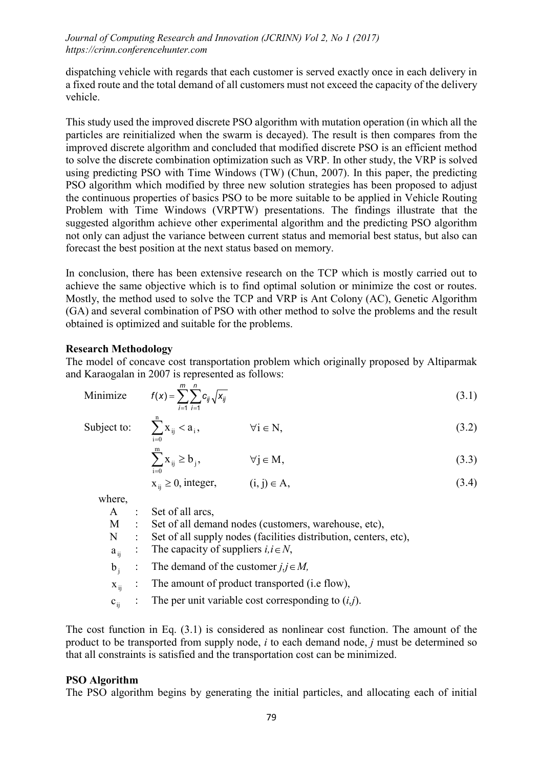dispatching vehicle with regards that each customer is served exactly once in each delivery in a fixed route and the total demand of all customers must not exceed the capacity of the delivery vehicle.

This study used the improved discrete PSO algorithm with mutation operation (in which all the particles are reinitialized when the swarm is decayed). The result is then compares from the improved discrete algorithm and concluded that modified discrete PSO is an efficient method to solve the discrete combination optimization such as VRP. In other study, the VRP is solved using predicting PSO with Time Windows (TW) (Chun, 2007). In this paper, the predicting PSO algorithm which modified by three new solution strategies has been proposed to adjust the continuous properties of basics PSO to be more suitable to be applied in Vehicle Routing Problem with Time Windows (VRPTW) presentations. The findings illustrate that the suggested algorithm achieve other experimental algorithm and the predicting PSO algorithm not only can adjust the variance between current status and memorial best status, but also can forecast the best position at the next status based on memory.

In conclusion, there has been extensive research on the TCP which is mostly carried out to achieve the same objective which is to find optimal solution or minimize the cost or routes. Mostly, the method used to solve the TCP and VRP is Ant Colony (AC), Genetic Algorithm (GA) and several combination of PSO with other method to solve the problems and the result obtained is optimized and suitable for the problems.

## Research Methodology

The model of concave cost transportation problem which originally proposed by Altiparmak and Karaogalan in 2007 is represented as follows:

Minimize 
$$
f(x) = \sum_{i=1}^{m} \sum_{j=1}^{n} c_{ij} \sqrt{x_{ij}}
$$
 (3.1)

Subject to: 
$$
\sum_{i=0}^{n} X_{ij} < a_i, \qquad \forall i \in \mathbb{N}, \tag{3.2}
$$

$$
\sum_{i=0}^{m} X_{ij} \ge b_j, \qquad \forall j \in M,
$$
\n(3.3)

$$
x_{ij} \ge 0, \text{ integer}, \qquad (i, j) \in A, \tag{3.4}
$$

where,

| A : Set of all arcs,<br>M : Set of all demand nodes (customers, warehouse, etc), |  |
|----------------------------------------------------------------------------------|--|
|                                                                                  |  |
|                                                                                  |  |
| N : Set of all supply nodes (facilities distribution, centers, etc),             |  |
| $a_{ii}$ : The capacity of suppliers $i, i \in N$ ,                              |  |
| b <sub>i</sub> : The demand of the customer $j, j \in M$ ,                       |  |
| $x_{ii}$ : The amount of product transported (i.e flow),                         |  |
| $c_{ii}$ : The per unit variable cost corresponding to $(i,j)$ .                 |  |

The cost function in Eq. (3.1) is considered as nonlinear cost function. The amount of the product to be transported from supply node, *i* to each demand node, *j* must be determined so that all constraints is satisfied and the transportation cost can be minimized.

## PSO Algorithm

The PSO algorithm begins by generating the initial particles, and allocating each of initial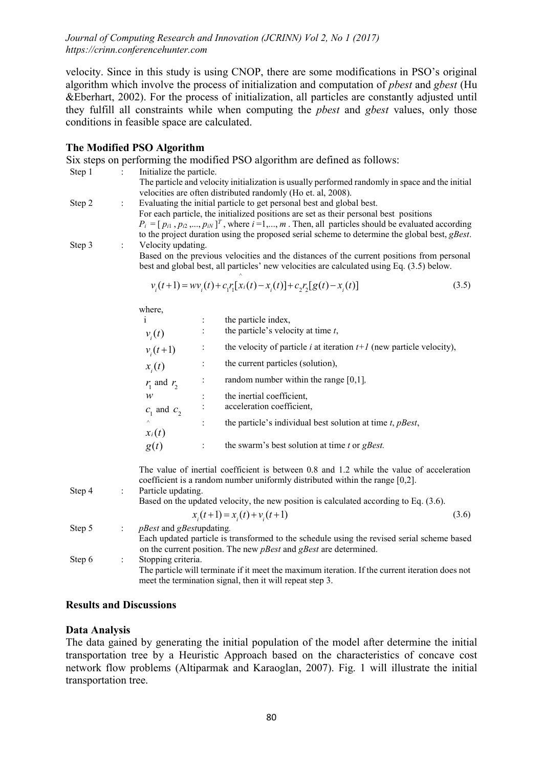velocity. Since in this study is using CNOP, there are some modifications in PSO's original algorithm which involve the process of initialization and computation of *pbest* and *gbest* (Hu &Eberhart, 2002). For the process of initialization, all particles are constantly adjusted until they fulfill all constraints while when computing the *pbest* and *gbest* values, only those conditions in feasible space are calculated.

## The Modified PSO Algorithm

| Step 1 |                | Initialize the particle.                                                                                                                                                                                                                                                                                                                                                       | Six steps on performing the modified PSO algorithm are defined as follows:<br>The particle and velocity initialization is usually performed randomly in space and the initial<br>velocities are often distributed randomly (Ho et. al, 2008).                                                                                                                                                            |  |  |  |
|--------|----------------|--------------------------------------------------------------------------------------------------------------------------------------------------------------------------------------------------------------------------------------------------------------------------------------------------------------------------------------------------------------------------------|----------------------------------------------------------------------------------------------------------------------------------------------------------------------------------------------------------------------------------------------------------------------------------------------------------------------------------------------------------------------------------------------------------|--|--|--|
| Step 2 | $\ddot{\cdot}$ | Evaluating the initial particle to get personal best and global best.<br>For each particle, the initialized positions are set as their personal best positions<br>$P_i = [p_{i1}, p_{i2},, p_{iN}]^T$ , where $i = 1,, m$ . Then, all particles should be evaluated according<br>to the project duration using the proposed serial scheme to determine the global best, gBest. |                                                                                                                                                                                                                                                                                                                                                                                                          |  |  |  |
| Step 3 | ÷              | Velocity updating.<br>Based on the previous velocities and the distances of the current positions from personal<br>best and global best, all particles' new velocities are calculated using Eq. (3.5) below.                                                                                                                                                                   |                                                                                                                                                                                                                                                                                                                                                                                                          |  |  |  |
|        |                |                                                                                                                                                                                                                                                                                                                                                                                | $v_i(t+1) = w v_i(t) + c_1 r_i [x_i(t) - x_i(t)] + c_2 r_i [g(t) - x_i(t)]$<br>(3.5)                                                                                                                                                                                                                                                                                                                     |  |  |  |
|        |                | where,<br>i.<br>$\ddot{\cdot}$<br>$\ddot{\cdot}$<br>$v_i(t)$<br>:<br>$v_i(t+1)$<br>$\vdots$<br>$x_i(t)$<br>÷<br>$r_1$ and $r_2$<br>$\boldsymbol{w}$<br>$\ddot{\cdot}$<br>$c_1$ and $c_2$<br>$\ddot{\phantom{a}}$<br>$x_i(t)$<br>g(t)<br>$\ddot{\phantom{a}}$                                                                                                                   | the particle index,<br>the particle's velocity at time $t$ ,<br>the velocity of particle <i>i</i> at iteration $t+1$ (new particle velocity),<br>the current particles (solution),<br>random number within the range $[0,1]$ ,<br>the inertial coefficient,<br>acceleration coefficient,<br>the particle's individual best solution at time t, pBest,<br>the swarm's best solution at time $t$ or gBest. |  |  |  |
| Step 4 | $\ddot{\cdot}$ | Particle updating.                                                                                                                                                                                                                                                                                                                                                             | The value of inertial coefficient is between 0.8 and 1.2 while the value of acceleration<br>coefficient is a random number uniformly distributed within the range [0,2].<br>Based on the updated velocity, the new position is calculated according to Eq. (3.6).                                                                                                                                        |  |  |  |
| Step 5 | $\vdots$       | $x_i(t+1) = x_i(t) + v_i(t+1)$<br>(3.6)<br><i>pBest</i> and <i>gBest</i> updating.<br>Each updated particle is transformed to the schedule using the revised serial scheme based<br>on the current position. The new <i>pBest</i> and <i>gBest</i> are determined.                                                                                                             |                                                                                                                                                                                                                                                                                                                                                                                                          |  |  |  |
| Step 6 | $\ddot{\cdot}$ | Stopping criteria.<br>The particle will terminate if it meet the maximum iteration. If the current iteration does not<br>meet the termination signal, then it will repeat step 3.                                                                                                                                                                                              |                                                                                                                                                                                                                                                                                                                                                                                                          |  |  |  |

## Results and Discussions

#### Data Analysis

The data gained by generating the initial population of the model after determine the initial transportation tree by a Heuristic Approach based on the characteristics of concave cost network flow problems (Altiparmak and Karaoglan, 2007). Fig. 1 will illustrate the initial transportation tree.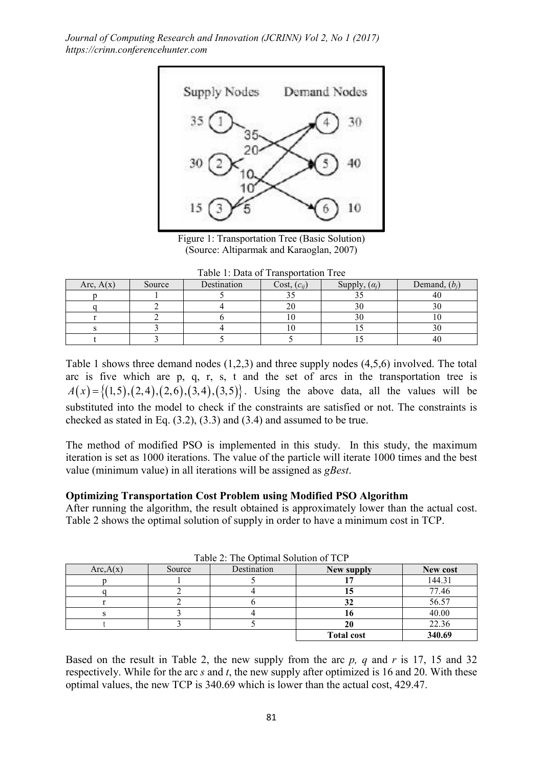

Figure 1: Transportation Tree (Basic Solution) (Source: Altiparmak and Karaoglan, 2007)

|  |  |  |  | Table 1: Data of Transportation Tree |  |
|--|--|--|--|--------------------------------------|--|
|--|--|--|--|--------------------------------------|--|

| Arc, $A(x)$ | Source | Destination | $Cost, (c_{ij})$ | Supply, $(\alpha_i)$ | Demand, $(b_i)$ |
|-------------|--------|-------------|------------------|----------------------|-----------------|
|             |        |             |                  |                      | 40              |
|             |        |             |                  |                      |                 |
|             |        |             |                  |                      |                 |
|             |        |             |                  |                      |                 |
|             |        |             |                  |                      | 40              |

Table 1 shows three demand nodes (1,2,3) and three supply nodes (4,5,6) involved. The total arc is five which are p, q, r, s, t and the set of arcs in the transportation tree is  $A(x) = \{(1,5), (2,4), (2,6), (3,4), (3,5)\}.$  Using the above data, all the values will be substituted into the model to check if the constraints are satisfied or not. The constraints is checked as stated in Eq. (3.2), (3.3) and (3.4) and assumed to be true.

The method of modified PSO is implemented in this study. In this study, the maximum iteration is set as 1000 iterations. The value of the particle will iterate 1000 times and the best value (minimum value) in all iterations will be assigned as *gBest*.

#### Optimizing Transportation Cost Problem using Modified PSO Algorithm

After running the algorithm, the result obtained is approximately lower than the actual cost. Table 2 shows the optimal solution of supply in order to have a minimum cost in TCP.

| Arc, A(x) | Source | Destination | New supply        | New cost |
|-----------|--------|-------------|-------------------|----------|
|           |        |             |                   | 144.31   |
|           |        |             |                   | 77.46    |
|           |        |             |                   | 56.57    |
|           |        |             |                   | 40.00    |
|           |        |             |                   | 22.36    |
|           |        |             | <b>Total cost</b> | 340.69   |

Table 2: The Optimal Solution of TCP

Based on the result in Table 2, the new supply from the arc *p, q* and *r* is 17, 15 and 32 respectively. While for the arc *s* and *t*, the new supply after optimized is 16 and 20. With these optimal values, the new TCP is 340.69 which is lower than the actual cost, 429.47.